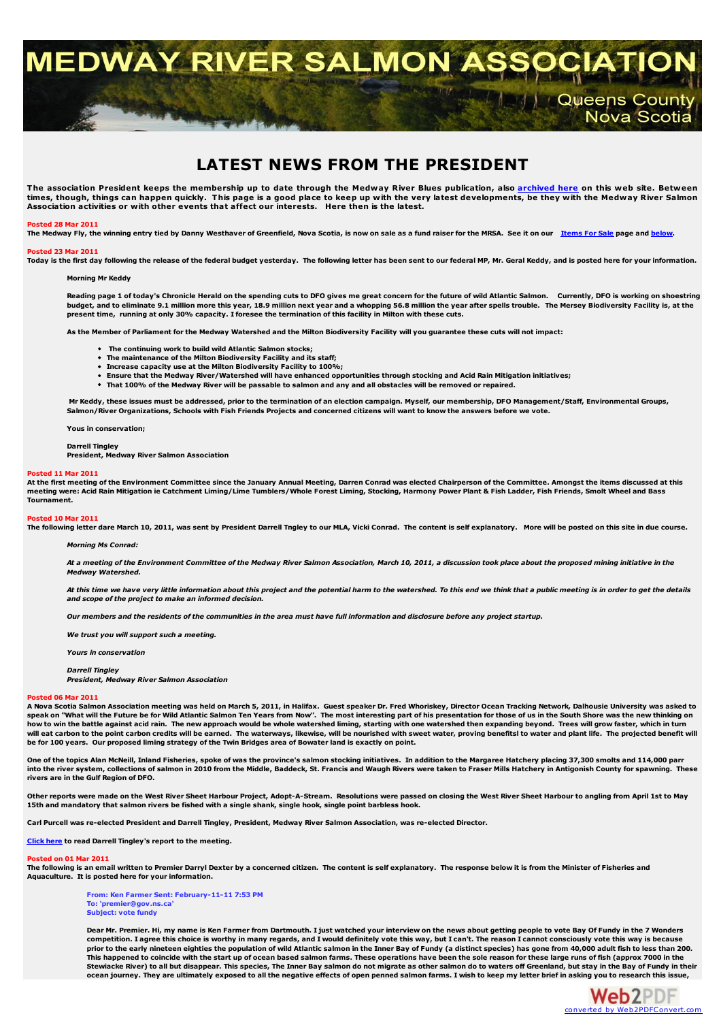MEDWAY RIVER SALMON ASSOCIATI

# **LATEST NEWS FROM THE PRESIDENT**

**Example 1 All Audens County**<br>Nova Scotia

The association President keeps the membership up to date through the Medway River Blues publication, also [archived](http://medwayriversalmonassociation.org/archives/archives.html) here on this web site. Between times, though, things can happen quickly. This page is a good place to keep up with the very latest developments, be they with the Medway River Salmon **Association activities or with other events that affect our interests. Here then is the latest.**

# **Posted 28 Mar 2011**

The Medway Fly, the winning entry tied by Danny Westhaver of Greenfield, Nova Scotia, is now on sale as a fund raiser for the MRSA. See it on our [Items](http://medwayriversalmonassociation.org/forsale/items.html) For Sale page and [below](#page-2-0)

#### **Posted 23 Mar 2011**

Today is the first day following the release of the federal budget yesterday. The following letter has been sent to our federal MP, Mr. Geral Keddy, and is posted here for your information.

## **Morning Mr Keddy**

Reading page 1 of today's Chronicle Herald on the spending cuts to DFO gives me great concern for the future of wild Atlantic Salmon. Currently, DFO is working on shoestring budget, and to eliminate 9.1 million more this year, 18.9 million next year and a whopping 56.8 million the year after spells trouble. The Mersey Biodiversity Facility is, at the present time, running at only 30% capacity. I foresee the termination of this facility in Milton with these cuts.

As the Member of Parliament for the Medway Watershed and the Milton Biodiversity Facility will you quarantee these cuts will not impact:

- **The continuing work to build wild Atlantic Salmon stocks;**
- **The maintenance of the Milton Biodiversity Facility and its staff;**
- **Increase capacity use at the Milton Biodiversity Facility to 100%;**
- . Ensure that the Medway River/Watershed will have enhanced opportunities through stocking and Acid Rain Mitigation initiatives:
- . That 100% of the Medway River will be passable to salmon and any and all obstacles will be removed or repaired.

Mr Keddy, these issues must be addressed, prior to the termination of an election campaign. Myself, our membership, DFO Management/Staff, Environmental Groups, Salmon/River Organizations, Schools with Fish Friends Projects and concerned citizens will want to know the answers before we vote.

**Yous in conservation;**

# **Darrell Tingley**

**President, Medway River Salmon Association**

#### **Posted 11 Mar 2011**

At the first meeting of the Environment Committee since the January Annual Meeting, Darren Conrad was elected Chairperson of the Committee. Amongst the items discussed at this meeting were: Acid Rain Mitigation ie Catchment Liming/Lime Tumblers/Whole Forest Liming, Stocking, Harmony Power Plant & Fish Ladder, Fish Friends, Smolt Wheel and Bass **Tournament.**

#### **Posted 10 Mar 2011**

The following letter dare March 10, 2011, was sent by President Darrell Tngley to our MLA, Vicki Conrad. The content is self explanatory. More will be posted on this site in due course.

# *Morning Ms Conrad:*

At a meeting of the Environment Committee of the Medway River Salmon Association. March 10, 2011, a discussion took place about the proposed mining initiative in the *Medway Watershed.*

At this time we have very little information about this project and the potential harm to the watershed. To this end we think that a public meeting is in order to get the details *and scope of the project to make an informed decision.*

Our members and the residents of the communities in the area must have full information and disclosure before any project startup.

*We trust you will support such a meeting.*

*Yours in conservation*

*Darrell Tingley*

*President, Medway River Salmon Association*

# **Posted 06 Mar 2011**

A Nova Scotia Salmon Association meeting was held on March 5, 2011, in Halifax. Guest speaker Dr. Fred Whoriskey, Director Ocean Tracking Network, Dalhousie University was asked to speak on "What will the Future be for Wild Atlantic Salmon Ten Years from Now". The most interesting part of his presentation for those of us in the South Shore was the new thinking on how to win the battle against acid rain. The new approach would be whole watershed liming, starting with one watershed then expanding beyond. Trees will grow faster, which in turn will eat carbon to the point carbon credits will be earned. The waterways, likewise, will be nourished with sweet water, proving benefits! to water and plant life. The projected benefit will be for 100 years. Our proposed liming strategy of the Twin Bridges area of Bowater land is exactly on point.

One of the topics Alan McNeill, Inland Fisheries, spoke of was the province's salmon stocking initiatives. In addition to the Margaree Hatchery placing 37,300 smolts and 114,000 parr into the river system, collections of salmon in 2010 from the Middle, Baddeck, St. Francis and Waugh Rivers were taken to Fraser Mills Hatchery in Antigonish County for spawning. These **rivers are in the Gulf Region of DFO.**

Other reports were made on the West River Sheet Harbour Project, Adopt-A-Stream. Resolutions were passed on closing the West River Sheet Harbour to angling from April 1st to May 15th and mandatory that salmon rivers be fished with a single shank, single hook, single point barbless hook,

Carl Purcell was re-elected President and Darrell Tingley, President, Medway River Salmon Association, was re-elected Director.

**[Click](http://medwayriversalmonassociation.org/presidentsnews/mrsareporttonssa2011agm.pdf) here to read Darrell Tingley's report to the meeting.**

# **Posted on 01 Mar 2011**

The following is an email written to Premier Darryl Dexter by a concerned citizen. The content is self explanatory. The response below it is from the Minister of Fisheries and **Aquaculture. It is posted here for your information.**

**From: Ken Farmer Sent: February-11-11 7:53 PM To: 'premier@gov.ns.ca' Subject: vote fundy**

Dear Mr. Premier. Hi, my name is Ken Farmer from Dartmouth. I just watched your interview on the news about getting people to yote Bay Of Fundy in the 7 Wonders competition. I agree this choice is worthy in many regards, and I would definitely vote this way, but I can't. The reason I cannot consciously vote this way is because prior to the early nineteen eighties the population of wild Atlantic salmon in the Inner Bay of Fundy (a distinct species) has gone from 40,000 adult fish to less than 200. This happened to coincide with the start up of ocean based salmon farms. These operations have been the sole reason for these large runs of fish (approx 7000 in the Stewiacke River) to all but disappear. This species, The Inner Bay salmon do not migrate as other salmon do to waters off Greenland, but stay in the Bay of Fundy in their ocean journey. They are ultimately exposed to all the negative effects of open penned salmon farms. I wish to keep my letter brief in asking you to research this issue,

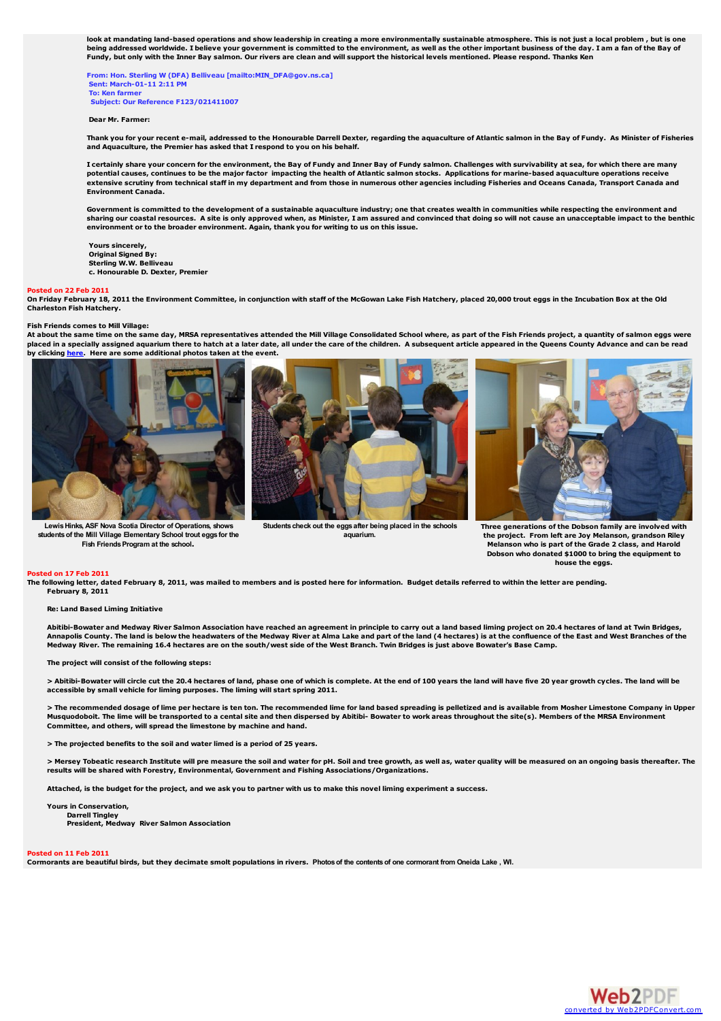look at mandating land-based operations and show leadership in creating a more environmentally sustainable atmosphere. This is not just a local problem, but is one being addressed worldwide. I believe your government is committed to the environment, as well as the other important business of the day. I am a fan of the Bay of Fundy, but only with the Inner Bay salmon. Our rivers are clean and will support the historical levels mentioned. Please respond. Thanks Ken

**From: Hon. Sterling W (DFA) Belliveau [mailto:MIN\_DFA@gov.ns.ca] Sent: March-01-11 2:11 PM To: Ken farmer Subject: Our Reference F123/021411007**

### **Dear Mr. Farmer:**

Thank you for your recent e-mail, addressed to the Honourable Darrell Dexter, regarding the aquaculture of Atlantic salmon in the Bay of Fundy. As Minister of Fisheries **and Aquaculture, the Premier has asked that I respond to you on his behalf.**

I certainly share your concern for the environment, the Bay of Fundy and Inner Bay of Fundy salmon. Challenges with survivability at sea, for which there are many potential causes, continues to be the major factor impacting the health of Atlantic salmon stocks. Applications for marine-based aquaculture operations receive extensive scrutiny from technical staff in my department and from those in numerous other agencies including Fisheries and Oceans Canada, Transport Canada and **Environment Canada.**

Government is committed to the development of a sustainable aquaculture industry; one that creates wealth in communities while respecting the environment and sharing our coastal resources. A site is only approved when, as Minister, I am assured and convinced that doing so will not cause an unacceptable impact to the benthic sharing our coastal resources. A site is only approved **environment or to the broader environment. Again, thank you for writing to us on this issue.**

**Yours sincerely, Original Signed By: Sterling W.W. Belliveau c. Honourable D. Dexter, Premier**

#### **Posted on 22 Feb 2011**

On Friday February 18, 2011 the Environment Committee, in conjunction with staff of the McGowan Lake Fish Hatchery, placed 20,000 trout eggs in the Incubation Box at the Old **Charleston Fish Hatchery.**

# **Fish Friends comes to Mill Village:**

At a bout the same time on the same day. MRSA representatives attended the Mill Village Consolidated School where, as part of the Fish Friends project, a quantity of salmon eggs were placed in a specially assigned aquarium there to hatch at a later date, all under the care of the children. A subsequent article appeared in the Queens County Advance and can be read<br>by clicking here. Here are some additio **by clicking [here](http://medwayriversalmonassociation.org/news/Advance22Feb2011.pdf). Here are some additional photos taken at the event.**



**LewisHinks, ASF Nova Scotia Director of Operations, shows studentsof the Mill Village Elementary School trout eggs for the Fish FriendsProgram at the school.**





**Three generations of the Dobson family are involved with the project. From left are Joy Melanson, grandson Riley Melanson who is part of the Grade 2 class, and Harold Dobson who donated \$1000 to bring the equipment to house the eggs.**

## **Posted on 17 Feb 2011**

**The following letter, dated February 8, 2011, was mailed to members and is posted here for information. Budget details referred to within the letter are pending. February 8, 2011**

**Re: Land Based Liming Initiative**

Abitibi-Bowater and Medway River Salmon Association have reached an agreement in principle to carry out a land based liming project on 20.4 hectares of land at Twin Bridges, Annapolis County. The land is below the headwaters of the Medway River at Alma Lake and part of the land (4 hectares) is at the confluence of the East and West Branches of the Medway River. The remaining 16.4 hectares are on the south/west side of the West Branch. Twin Bridges is just above Bowater's Base Camp.

**The project will consist of the following steps:**

> Abitibi-Bowater will circle cut the 20.4 hectares of land, phase one of which is complete. At the end of 100 years the land will have five 20 year growth cycles. The land will be **accessible by small vehicle for liming purposes. The liming will start spring 2011.**

The recommended dosage of lime per hectare is ten ton. The recommended lime for land based spreading is pelletized and is available from Mosher Limestone Company in Upper Musquodoboit. The lime will be transported to a cental site and then dispersed by Abitibi- Bowater to work areas throughout the site(s). Members of the MRSA Environment<br>Committee, and others, will spread the limestone by m

**> The projected benefits to the soil and water limed is a period of 25 years.**

> Mersey Tobeatic research Institute will pre measure the soil and water for pH. Soil and tree growth, as well as, water quality will be measured on an ongoing basis thereafter. The **results will be shared with Forestry, Environmental, Government and Fishing Associations/Organizations.**

Attached, is the budget for the project, and we ask you to partner with us to make this novel liming experiment a success.

# **Yours in Conservation, Darrell Tingley President, Medway River Salmon Association**

# **Posted on 11 Feb 2011**

Cormorants are beautiful birds, but they decimate smolt populations in rivers. Photos of the contents of one cormorant from Oneida Lake . WI.

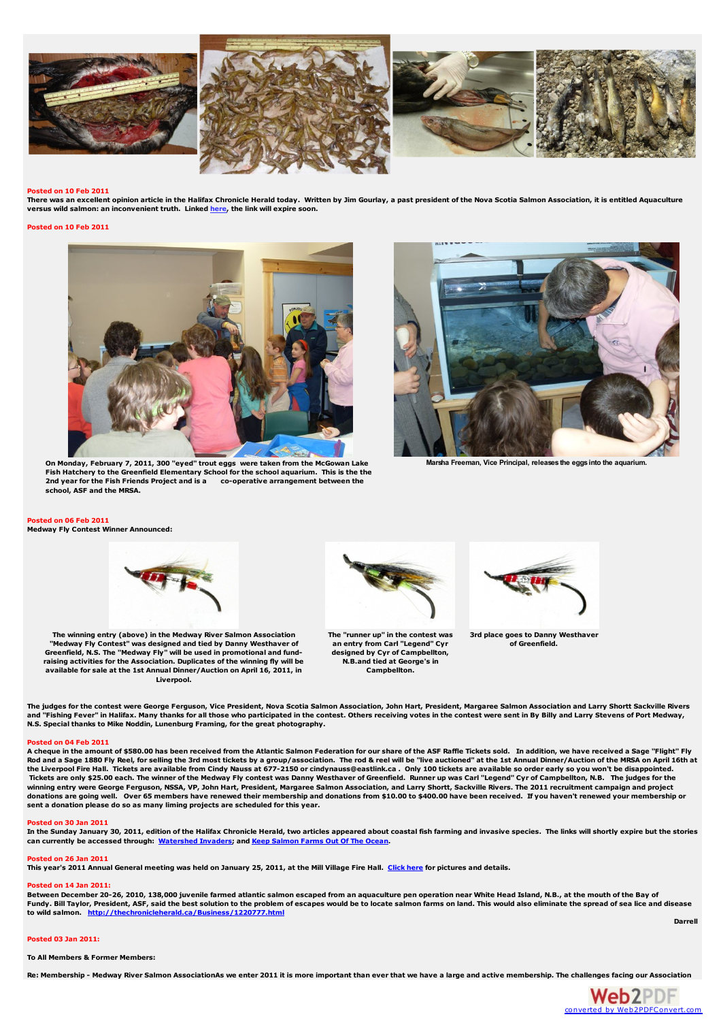

# **Posted on 10 Feb 2011**

There was an excellent opinion article in the Halifax Chronicle Herald today. Written by Jim Gourlay, a past president of the Nova Scotia Salmon Association, it is entitled Aquaculture **versus wild salmon: an inconvenient truth. Linked [here](http://thechronicleherald.ca/Letters/1226976.html), the link will expire soon.**

## **Posted on 10 Feb 2011**



**On Monday, February 7, 2011, 300 "eyed" trout eggs were taken from the McGowan Lake Fish Hatchery to the Greenfield Elementary School for the school aquarium. This is the the 2nd year for the Fish Friends Project and is a co-operative arrangement between the school, ASF and the MRSA.**



**Marsha Freeman, Vice Principal, releases the eggs into the aquarium.**

# <span id="page-2-0"></span>**Posted on 06 Feb 2011**

**Medway Fly Contest Winner Announced:**



**The winning entry (above) in the Medway River Salmon Association "Medway Fly Contest" was designed and tied by Danny Westhaver of Greenfield, N.S. The "Medway Fly" will be used in promotional and fund**raising activities for the Association. Duplicates of the winning fly will be<br>available for sale at the 1st Annual Dinner/Auction on April 16, 2011, in **Liverpool.**



**The "runner up" in the contest was an entry from Carl "Legend" Cyr designed by Cyr of Campbellton, N.B.and tied at George's in Campbellton.**



**3rd place goes to Danny Westhaver of Greenfield.**

The judges for the contest were George Ferguson, Vice President, Nova Scotia Salmon Association, John Hart, President, Margaree Salmon Association and Larry Shortt Sackville Rivers and "Fishing Fever" in Halifax. Many thanks for all those who participated in the contest. Others receiving votes in the contest were sent in By Billy and Larry Stevens of Port Medway, **N.S. Special thanks to Mike Noddin, Lunenburg Framing, for the great photography.**

## **Posted on 04 Feb 2011**

A cheque in the amount of \$580.00 has been received from the Atlantic Salmon Federation for our share of the ASF Raffle Tickets sold. In addition, we have received a Sage "Flight" Fly Rod and a Sage 1880 Fly Reel, for selling the 3rd most tickets by a group/association. The rod & reel will be "live auctioned" at the 1st Annual Dinner/Auction of the MRSA on April 16th at the Liverpool Fire Hall. Tickets are available from Cindy Nauss at 677-2150 or cindynauss@eastlink.ca. Only 100 tickets are available so order early so you won't be disappointed. Tickets are only \$25.00 each. The winner of the Medway Fly contest was Danny Westhaver of Greenfield. Runner up was Carl "Legend" Cyr of Campbellton, N.B. The judges for the winning entry were George Ferguson, NSSA, VP, John Hart, President, Margaree Salmon Association, and Larry Shortt, Sackville Rivers. The 2011 recruitment campaign and project<br>donations are going well. Over 65 members have .<br>Ins are going well. Over 65 members have renewed their membership and donations from \$10.00 to \$400.00 have been received. If you haven't renewed your membership or **sent a donation please do so as many liming projects are scheduled for this year.**

#### **Posted on 30 Jan 2011**

In the Sunday January 30, 2011, edition of the Halifax Chronicle Herald, two articles appeared about coastal fish farming and invasive species. The links will shortly expire but the stories **can currently be accessed through: [Watershed](http://thechronicleherald.ca/TheNovaScotian/1224846.html) Invaders; and Keep [Salmon](http://thechronicleherald.ca/TheNovaScotian/1224922.html) Farms Out Of The Ocean.**

## **Posted on 26 Jan 2011**

This year's 2011 Annual General meeting was held on January 25, 2011, at the Mill Village Fire Hall. [Click](http://medwayriversalmonassociation.org/agm/jan2011agm.html) here for pictures and details.

# **Posted on 14 Jan 2011:**

Between December 20-26, 2010, 138,000 juvenile farmed atlantic salmon escaped from an aquaculture pen operation near White Head Island, N.B., at the mouth of the Bay of Fundy. Bill Taylor, President, ASF, said the best solution to the problem of escapes would be to locate salmon farms on land. This would also eliminate the spread of sea lice and disease **to wild salmon. <http://thechronicleherald.ca/Business/1220777.html> Darrell**

**Posted 03 Jan 2011:**

**To All Members & Former Members:**

Re: Membership - Medway River Salmon AssociationAs we enter 2011 it is more important than ever that we have a large and active membership. The challenges facing our Association